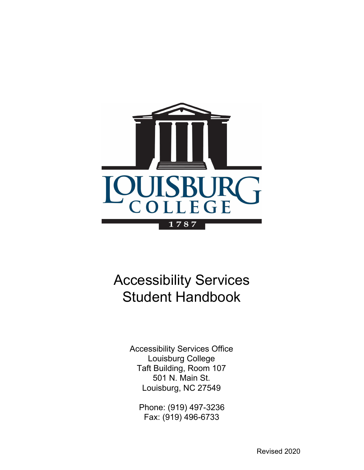

# Accessibility Services Student Handbook

Accessibility Services Office Louisburg College Taft Building, Room 107 501 N. Main St. Louisburg, NC 27549

Phone: (919) 497-3236 Fax: (919) 496-6733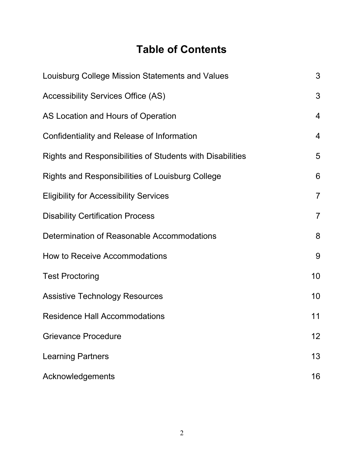## **Table of Contents**

| Louisburg College Mission Statements and Values           | 3              |
|-----------------------------------------------------------|----------------|
| <b>Accessibility Services Office (AS)</b>                 | 3              |
| AS Location and Hours of Operation                        | 4              |
| Confidentiality and Release of Information                | $\overline{4}$ |
| Rights and Responsibilities of Students with Disabilities | 5              |
| <b>Rights and Responsibilities of Louisburg College</b>   | 6              |
| <b>Eligibility for Accessibility Services</b>             | $\overline{7}$ |
| <b>Disability Certification Process</b>                   | $\overline{7}$ |
| Determination of Reasonable Accommodations                | 8              |
| How to Receive Accommodations                             | 9              |
| <b>Test Proctoring</b>                                    | 10             |
| <b>Assistive Technology Resources</b>                     | 10             |
| <b>Residence Hall Accommodations</b>                      | 11             |
| <b>Grievance Procedure</b>                                | 12             |
| <b>Learning Partners</b>                                  | 13             |
| Acknowledgements                                          | 16             |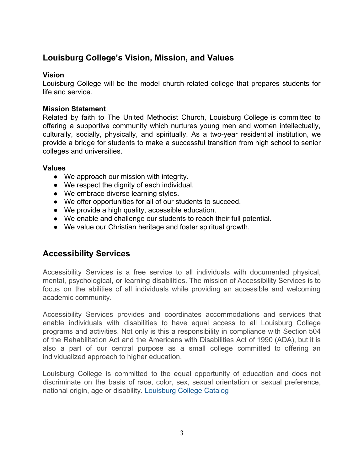## **Louisburg College's Vision, Mission, and Values**

#### **Vision**

Louisburg College will be the model church-related college that prepares students for life and service.

#### **Mission Statement**

Related by faith to The United Methodist Church, Louisburg College is committed to offering a supportive community which nurtures young men and women intellectually, culturally, socially, physically, and spiritually. As a two-year residential institution, we provide a bridge for students to make a successful transition from high school to senior colleges and universities.

#### **Values**

- We approach our mission with integrity.
- We respect the dignity of each individual.
- We embrace diverse learning styles.
- We offer opportunities for all of our students to succeed.
- We provide a high quality, accessible education.
- We enable and challenge our students to reach their full potential.
- We value our Christian heritage and foster spiritual growth.

## **Accessibility Services**

Accessibility Services is a free service to all individuals with documented physical, mental, psychological, or learning disabilities. The mission of Accessibility Services is to focus on the abilities of all individuals while providing an accessible and welcoming academic community.

Accessibility Services provides and coordinates accommodations and services that enable individuals with disabilities to have equal access to all Louisburg College programs and activities. Not only is this a responsibility in compliance with Section 504 of the Rehabilitation Act and the Americans with Disabilities Act of 1990 (ADA), but it is also a part of our central purpose as a small college committed to offering an individualized approach to higher education.

Louisburg College is committed to the equal opportunity of education and does not discriminate on the basis of race, color, sex, sexual orientation or sexual preference, national origin, age or disability. [Louisburg College Catalog](https://www.louisburg.edu/_resources/_pdf-files/College-Catalog_2018-19.pdf)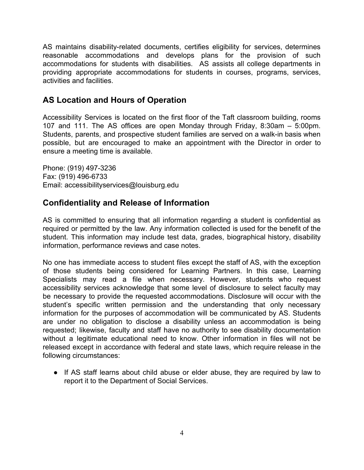AS maintains disability-related documents, certifies eligibility for services, determines reasonable accommodations and develops plans for the provision of such accommodations for students with disabilities. AS assists all college departments in providing appropriate accommodations for students in courses, programs, services, activities and facilities.

## **AS Location and Hours of Operation**

Accessibility Services is located on the first floor of the Taft classroom building, rooms 107 and 111. The AS offices are open Monday through Friday, 8:30am – 5:00pm. Students, parents, and prospective student families are served on a walk-in basis when possible, but are encouraged to make an appointment with the Director in order to ensure a meeting time is available.

Phone: (919) 497-3236 Fax: (919) 496-6733 Email: accessibilityservices@louisburg.edu

## **Confidentiality and Release of Information**

AS is committed to ensuring that all information regarding a student is confidential as required or permitted by the law. Any information collected is used for the benefit of the student. This information may include test data, grades, biographical history, disability information, performance reviews and case notes.

No one has immediate access to student files except the staff of AS, with the exception of those students being considered for Learning Partners. In this case, Learning Specialists may read a file when necessary. However, students who request accessibility services acknowledge that some level of disclosure to select faculty may be necessary to provide the requested accommodations. Disclosure will occur with the student's specific written permission and the understanding that only necessary information for the purposes of accommodation will be communicated by AS. Students are under no obligation to disclose a disability unless an accommodation is being requested; likewise, faculty and staff have no authority to see disability documentation without a legitimate educational need to know. Other information in files will not be released except in accordance with federal and state laws, which require release in the following circumstances:

● If AS staff learns about child abuse or elder abuse, they are required by law to report it to the Department of Social Services.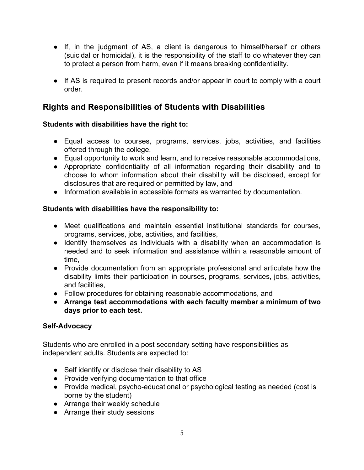- If, in the judgment of AS, a client is dangerous to himself/herself or others (suicidal or homicidal), it is the responsibility of the staff to do whatever they can to protect a person from harm, even if it means breaking confidentiality.
- If AS is required to present records and/or appear in court to comply with a court order.

## **Rights and Responsibilities of Students with Disabilities**

#### **Students with disabilities have the right to:**

- Equal access to courses, programs, services, jobs, activities, and facilities offered through the college,
- Equal opportunity to work and learn, and to receive reasonable accommodations,
- Appropriate confidentiality of all information regarding their disability and to choose to whom information about their disability will be disclosed, except for disclosures that are required or permitted by law, and
- Information available in accessible formats as warranted by documentation.

#### **Students with disabilities have the responsibility to:**

- Meet qualifications and maintain essential institutional standards for courses, programs, services, jobs, activities, and facilities,
- Identify themselves as individuals with a disability when an accommodation is needed and to seek information and assistance within a reasonable amount of time,
- Provide documentation from an appropriate professional and articulate how the disability limits their participation in courses, programs, services, jobs, activities, and facilities,
- Follow procedures for obtaining reasonable accommodations, and
- **Arrange test accommodations with each faculty member a minimum of two days prior to each test.**

#### **Self-Advocacy**

Students who are enrolled in a post secondary setting have responsibilities as independent adults. Students are expected to:

- Self identify or disclose their disability to AS
- Provide verifying documentation to that office
- Provide medical, psycho-educational or psychological testing as needed (cost is borne by the student)
- Arrange their weekly schedule
- Arrange their study sessions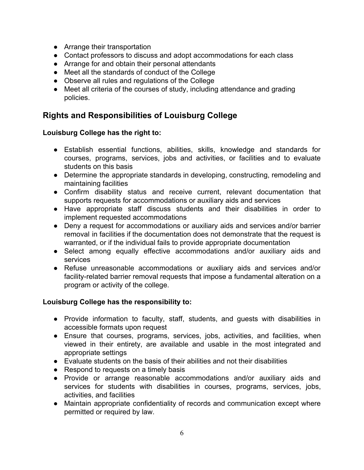- Arrange their transportation
- Contact professors to discuss and adopt accommodations for each class
- Arrange for and obtain their personal attendants
- Meet all the standards of conduct of the College
- Observe all rules and regulations of the College
- Meet all criteria of the courses of study, including attendance and grading policies.

## **Rights and Responsibilities of Louisburg College**

#### **Louisburg College has the right to:**

- Establish essential functions, abilities, skills, knowledge and standards for courses, programs, services, jobs and activities, or facilities and to evaluate students on this basis
- Determine the appropriate standards in developing, constructing, remodeling and maintaining facilities
- Confirm disability status and receive current, relevant documentation that supports requests for accommodations or auxiliary aids and services
- Have appropriate staff discuss students and their disabilities in order to implement requested accommodations
- Deny a request for accommodations or auxiliary aids and services and/or barrier removal in facilities if the documentation does not demonstrate that the request is warranted, or if the individual fails to provide appropriate documentation
- Select among equally effective accommodations and/or auxiliary aids and services
- Refuse unreasonable accommodations or auxiliary aids and services and/or facility-related barrier removal requests that impose a fundamental alteration on a program or activity of the college.

#### **Louisburg College has the responsibility to:**

- Provide information to faculty, staff, students, and guests with disabilities in accessible formats upon request
- Ensure that courses, programs, services, jobs, activities, and facilities, when viewed in their entirety, are available and usable in the most integrated and appropriate settings
- Evaluate students on the basis of their abilities and not their disabilities
- Respond to requests on a timely basis
- Provide or arrange reasonable accommodations and/or auxiliary aids and services for students with disabilities in courses, programs, services, jobs, activities, and facilities
- Maintain appropriate confidentiality of records and communication except where permitted or required by law.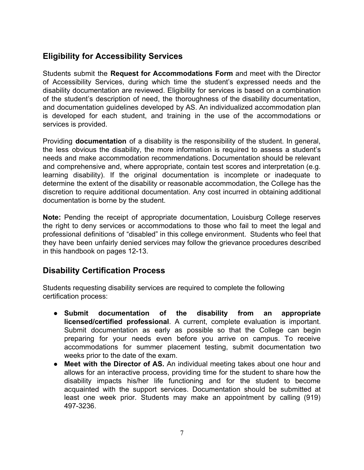## **Eligibility for Accessibility Services**

Students submit the **Request for Accommodations Form** and meet with the Director of Accessibility Services, during which time the student's expressed needs and the disability documentation are reviewed. Eligibility for services is based on a combination of the student's description of need, the thoroughness of the disability documentation, and documentation guidelines developed by AS. An individualized accommodation plan is developed for each student, and training in the use of the accommodations or services is provided.

Providing **documentation** of a disability is the responsibility of the student. In general, the less obvious the disability, the more information is required to assess a student's needs and make accommodation recommendations. Documentation should be relevant and comprehensive and, where appropriate, contain test scores and interpretation (e.g. learning disability). If the original documentation is incomplete or inadequate to determine the extent of the disability or reasonable accommodation, the College has the discretion to require additional documentation. Any cost incurred in obtaining additional documentation is borne by the student.

**Note:** Pending the receipt of appropriate documentation, Louisburg College reserves the right to deny services or accommodations to those who fail to meet the legal and professional definitions of "disabled" in this college environment. Students who feel that they have been unfairly denied services may follow the grievance procedures described in this handbook on pages 12-13.

## **Disability Certification Process**

Students requesting disability services are required to complete the following certification process:

- **Submit documentation of the disability from an appropriate licensed/certified professional**. A current, complete evaluation is important. Submit documentation as early as possible so that the College can begin preparing for your needs even before you arrive on campus. To receive accommodations for summer placement testing, submit documentation two weeks prior to the date of the exam.
- **Meet with the Director of AS.** An individual meeting takes about one hour and allows for an interactive process, providing time for the student to share how the disability impacts his/her life functioning and for the student to become acquainted with the support services. Documentation should be submitted at least one week prior. Students may make an appointment by calling (919) 497-3236.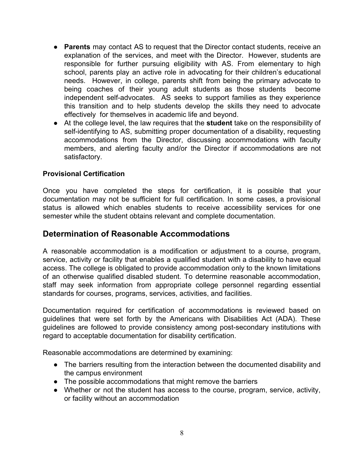- **Parents** may contact AS to request that the Director contact students, receive an explanation of the services, and meet with the Director. However, students are responsible for further pursuing eligibility with AS. From elementary to high school, parents play an active role in advocating for their children's educational needs. However, in college, parents shift from being the primary advocate to being coaches of their young adult students as those students become independent self-advocates. AS seeks to support families as they experience this transition and to help students develop the skills they need to advocate effectively for themselves in academic life and beyond.
- At the college level, the law requires that the **student** take on the responsibility of self-identifying to AS, submitting proper documentation of a disability, requesting accommodations from the Director, discussing accommodations with faculty members, and alerting faculty and/or the Director if accommodations are not satisfactory.

#### **Provisional Certification**

Once you have completed the steps for certification, it is possible that your documentation may not be sufficient for full certification. In some cases, a provisional status is allowed which enables students to receive accessibility services for one semester while the student obtains relevant and complete documentation.

#### **Determination of Reasonable Accommodations**

A reasonable accommodation is a modification or adjustment to a course, program, service, activity or facility that enables a qualified student with a disability to have equal access. The college is obligated to provide accommodation only to the known limitations of an otherwise qualified disabled student. To determine reasonable accommodation, staff may seek information from appropriate college personnel regarding essential standards for courses, programs, services, activities, and facilities.

Documentation required for certification of accommodations is reviewed based on guidelines that were set forth by the Americans with Disabilities Act (ADA). These guidelines are followed to provide consistency among post-secondary institutions with regard to acceptable documentation for disability certification.

Reasonable accommodations are determined by examining:

- The barriers resulting from the interaction between the documented disability and the campus environment
- The possible accommodations that might remove the barriers
- Whether or not the student has access to the course, program, service, activity, or facility without an accommodation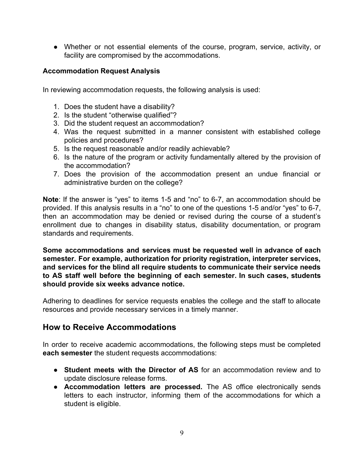● Whether or not essential elements of the course, program, service, activity, or facility are compromised by the accommodations.

#### **Accommodation Request Analysis**

In reviewing accommodation requests, the following analysis is used:

- 1. Does the student have a disability?
- 2. Is the student "otherwise qualified"?
- 3. Did the student request an accommodation?
- 4. Was the request submitted in a manner consistent with established college policies and procedures?
- 5. Is the request reasonable and/or readily achievable?
- 6. Is the nature of the program or activity fundamentally altered by the provision of the accommodation?
- 7. Does the provision of the accommodation present an undue financial or administrative burden on the college?

**Note**: If the answer is "yes" to items 1-5 and "no" to 6-7, an accommodation should be provided. If this analysis results in a "no" to one of the questions 1-5 and/or "yes" to 6-7, then an accommodation may be denied or revised during the course of a student's enrollment due to changes in disability status, disability documentation, or program standards and requirements.

**Some accommodations and services must be requested well in advance of each semester. For example, authorization for priority registration, interpreter services, and services for the blind all require students to communicate their service needs to AS staff well before the beginning of each semester. In such cases, students should provide six weeks advance notice.**

Adhering to deadlines for service requests enables the college and the staff to allocate resources and provide necessary services in a timely manner.

#### **How to Receive Accommodations**

In order to receive academic accommodations, the following steps must be completed **each semester** the student requests accommodations:

- **Student meets with the Director of AS** for an accommodation review and to update disclosure release forms.
- **Accommodation letters are processed.** The AS office electronically sends letters to each instructor, informing them of the accommodations for which a student is eligible.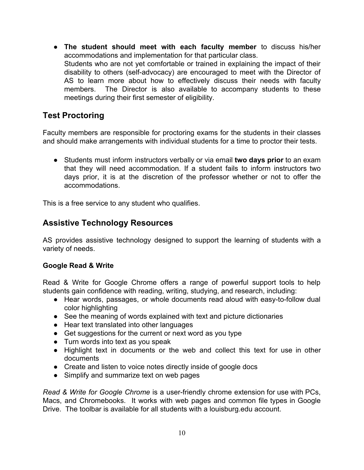● **The student should meet with each faculty member** to discuss his/her accommodations and implementation for that particular class. Students who are not yet comfortable or trained in explaining the impact of their disability to others (self-advocacy) are encouraged to meet with the Director of AS to learn more about how to effectively discuss their needs with faculty members. The Director is also available to accompany students to these meetings during their first semester of eligibility.

## **Test Proctoring**

Faculty members are responsible for proctoring exams for the students in their classes and should make arrangements with individual students for a time to proctor their tests.

● Students must inform instructors verbally or via email **two days prior** to an exam that they will need accommodation. If a student fails to inform instructors two days prior, it is at the discretion of the professor whether or not to offer the accommodations.

This is a free service to any student who qualifies.

## **Assistive Technology Resources**

AS provides assistive technology designed to support the learning of students with a variety of needs.

#### **Google Read & Write**

Read & Write for Google Chrome offers a range of powerful support tools to help students gain confidence with reading, writing, studying, and research, including:

- Hear words, passages, or whole documents read aloud with easy-to-follow dual color highlighting
- See the meaning of words explained with text and picture dictionaries
- Hear text translated into other languages
- Get suggestions for the current or next word as you type
- Turn words into text as you speak
- Highlight text in documents or the web and collect this text for use in other documents
- Create and listen to voice notes directly inside of google docs
- Simplify and summarize text on web pages

*Read & Write for Google Chrome* is a user-friendly chrome extension for use with PCs, Macs, and Chromebooks. It works with web pages and common file types in Google Drive. The toolbar is available for all students with a louisburg.edu account.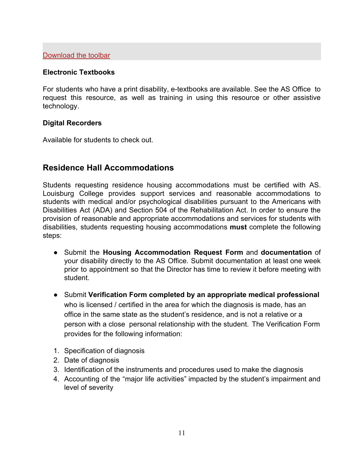#### **Electronic Textbooks**

For students who have a print disability, e-textbooks are available. See the AS Office to request this resource, as well as training in using this resource or other assistive technology.

#### **Digital Recorders**

Available for students to check out.

#### **Residence Hall Accommodations**

Students requesting residence housing accommodations must be certified with AS. Louisburg College provides support services and reasonable accommodations to students with medical and/or psychological disabilities pursuant to the Americans with Disabilities Act (ADA) and Section 504 of the Rehabilitation Act. In order to ensure the provision of reasonable and appropriate accommodations and services for students with disabilities, students requesting housing accommodations **must** complete the following steps:

- Submit the **Housing Accommodation Request Form** and **documentation** of your disability directly to the AS Office. Submit documentation at least one week prior to appointment so that the Director has time to review it before meeting with student.
- Submit **Verification Form completed by an appropriate medical professional** who is licensed / certified in the area for which the diagnosis is made, has an office in the same state as the student's residence, and is not a relative or a person with a close personal relationship with the student. The Verification Form provides for the following information:
- 1. Specification of diagnosis
- 2. Date of diagnosis
- 3. Identification of the instruments and procedures used to make the diagnosis
- 4. Accounting of the "major life activities" impacted by the student's impairment and level of severity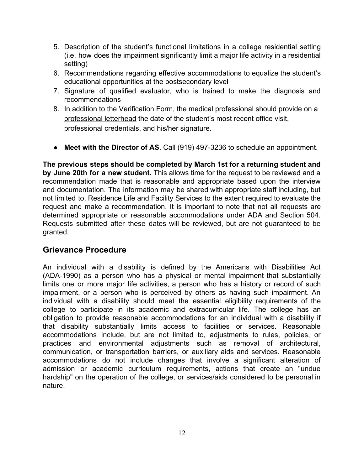- 5. Description of the student's functional limitations in a college residential setting (i.e. how does the impairment significantly limit a major life activity in a residential setting)
- 6. Recommendations regarding effective accommodations to equalize the student's educational opportunities at the postsecondary level
- 7. Signature of qualified evaluator, who is trained to make the diagnosis and recommendations
- 8. In addition to the Verification Form, the medical professional should provide on a professional letterhead the date of the student's most recent office visit, professional credentials, and his/her signature.
- **Meet with the Director of AS**. Call (919) 497-3236 to schedule an appointment.

**The previous steps should be completed by March 1st for a returning student and by June 20th for a new student.** This allows time for the request to be reviewed and a recommendation made that is reasonable and appropriate based upon the interview and documentation. The information may be shared with appropriate staff including, but not limited to, Residence Life and Facility Services to the extent required to evaluate the request and make a recommendation. It is important to note that not all requests are determined appropriate or reasonable accommodations under ADA and Section 504. Requests submitted after these dates will be reviewed, but are not guaranteed to be granted.

#### **Grievance Procedure**

An individual with a disability is defined by the Americans with Disabilities Act (ADA-1990) as a person who has a physical or mental impairment that substantially limits one or more major life activities, a person who has a history or record of such impairment, or a person who is perceived by others as having such impairment. An individual with a disability should meet the essential eligibility requirements of the college to participate in its academic and extracurricular life. The college has an obligation to provide reasonable accommodations for an individual with a disability if that disability substantially limits access to facilities or services. Reasonable accommodations include, but are not limited to, adjustments to rules, policies, or practices and environmental adjustments such as removal of architectural, communication, or transportation barriers, or auxiliary aids and services. Reasonable accommodations do not include changes that involve a significant alteration of admission or academic curriculum requirements, actions that create an "undue hardship" on the operation of the college, or services/aids considered to be personal in nature.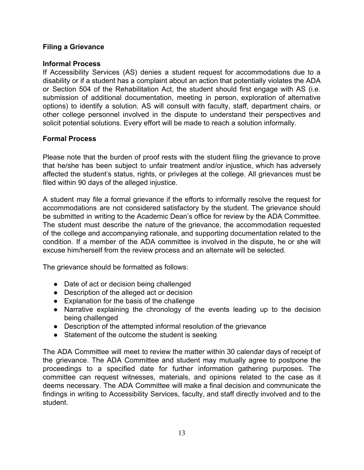#### **Filing a Grievance**

#### **Informal Process**

If Accessibility Services (AS) denies a student request for accommodations due to a disability or if a student has a complaint about an action that potentially violates the ADA or Section 504 of the Rehabilitation Act, the student should first engage with AS (i.e. submission of additional documentation, meeting in person, exploration of alternative options) to identify a solution. AS will consult with faculty, staff, department chairs, or other college personnel involved in the dispute to understand their perspectives and solicit potential solutions. Every effort will be made to reach a solution informally.

#### **Formal Process**

Please note that the burden of proof rests with the student filing the grievance to prove that he/she has been subject to unfair treatment and/or injustice, which has adversely affected the student's status, rights, or privileges at the college. All grievances must be filed within 90 days of the alleged injustice.

A student may file a formal grievance if the efforts to informally resolve the request for accommodations are not considered satisfactory by the student. The grievance should be submitted in writing to the Academic Dean's office for review by the ADA Committee. The student must describe the nature of the grievance, the accommodation requested of the college and accompanying rationale, and supporting documentation related to the condition. If a member of the ADA committee is involved in the dispute, he or she will excuse him/herself from the review process and an alternate will be selected.

The grievance should be formatted as follows:

- Date of act or decision being challenged
- Description of the alleged act or decision
- Explanation for the basis of the challenge
- Narrative explaining the chronology of the events leading up to the decision being challenged
- Description of the attempted informal resolution of the grievance
- Statement of the outcome the student is seeking

The ADA Committee will meet to review the matter within 30 calendar days of receipt of the grievance. The ADA Committee and student may mutually agree to postpone the proceedings to a specified date for further information gathering purposes. The committee can request witnesses, materials, and opinions related to the case as it deems necessary. The ADA Committee will make a final decision and communicate the findings in writing to Accessibility Services, faculty, and staff directly involved and to the student.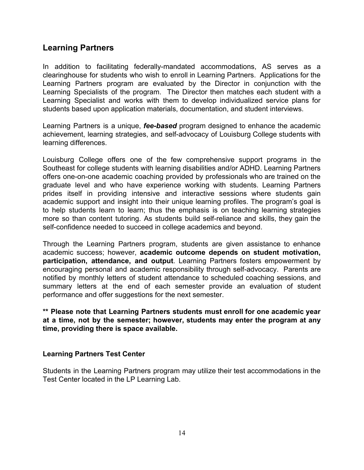### **Learning Partners**

In addition to facilitating federally-mandated accommodations, AS serves as a clearinghouse for students who wish to enroll in Learning Partners. Applications for the Learning Partners program are evaluated by the Director in conjunction with the Learning Specialists of the program. The Director then matches each student with a Learning Specialist and works with them to develop individualized service plans for students based upon application materials, documentation, and student interviews.

Learning Partners is a unique, *fee-based* program designed to enhance the academic achievement, learning strategies, and self-advocacy of Louisburg College students with learning differences.

Louisburg College offers one of the few comprehensive support programs in the Southeast for college students with learning disabilities and/or ADHD. Learning Partners offers one-on-one academic coaching provided by professionals who are trained on the graduate level and who have experience working with students. Learning Partners prides itself in providing intensive and interactive sessions where students gain academic support and insight into their unique learning profiles. The program's goal is to help students learn to learn; thus the emphasis is on teaching learning strategies more so than content tutoring. As students build self-reliance and skills, they gain the self-confidence needed to succeed in college academics and beyond.

Through the Learning Partners program, students are given assistance to enhance academic success; however, **academic outcome depends on student motivation, participation, attendance, and output**. Learning Partners fosters empowerment by encouraging personal and academic responsibility through self-advocacy. Parents are notified by monthly letters of student attendance to scheduled coaching sessions, and summary letters at the end of each semester provide an evaluation of student performance and offer suggestions for the next semester.

**\*\* Please note that Learning Partners students must enroll for one academic year at a time, not by the semester; however, students may enter the program at any time, providing there is space available.**

#### **Learning Partners Test Center**

Students in the Learning Partners program may utilize their test accommodations in the Test Center located in the LP Learning Lab.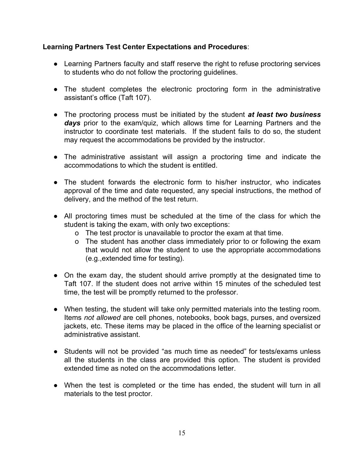#### **Learning Partners Test Center Expectations and Procedures**:

- Learning Partners faculty and staff reserve the right to refuse proctoring services to students who do not follow the proctoring guidelines.
- The student completes the electronic proctoring form in the administrative assistant's office (Taft 107).
- The proctoring process must be initiated by the student *at least two business days* prior to the exam/quiz, which allows time for Learning Partners and the instructor to coordinate test materials. If the student fails to do so, the student may request the accommodations be provided by the instructor.
- The administrative assistant will assign a proctoring time and indicate the accommodations to which the student is entitled.
- The student forwards the electronic form to his/her instructor, who indicates approval of the time and date requested, any special instructions, the method of delivery, and the method of the test return.
- All proctoring times must be scheduled at the time of the class for which the student is taking the exam, with only two exceptions:
	- o The test proctor is unavailable to proctor the exam at that time.
	- o The student has another class immediately prior to or following the exam that would not allow the student to use the appropriate accommodations (e.g.,extended time for testing).
- On the exam day, the student should arrive promptly at the designated time to Taft 107. If the student does not arrive within 15 minutes of the scheduled test time, the test will be promptly returned to the professor.
- When testing, the student will take only permitted materials into the testing room. Items *not allowed* are cell phones, notebooks, book bags, purses, and oversized jackets, etc. These items may be placed in the office of the learning specialist or administrative assistant.
- Students will not be provided "as much time as needed" for tests/exams unless all the students in the class are provided this option. The student is provided extended time as noted on the accommodations letter.
- When the test is completed or the time has ended, the student will turn in all materials to the test proctor.